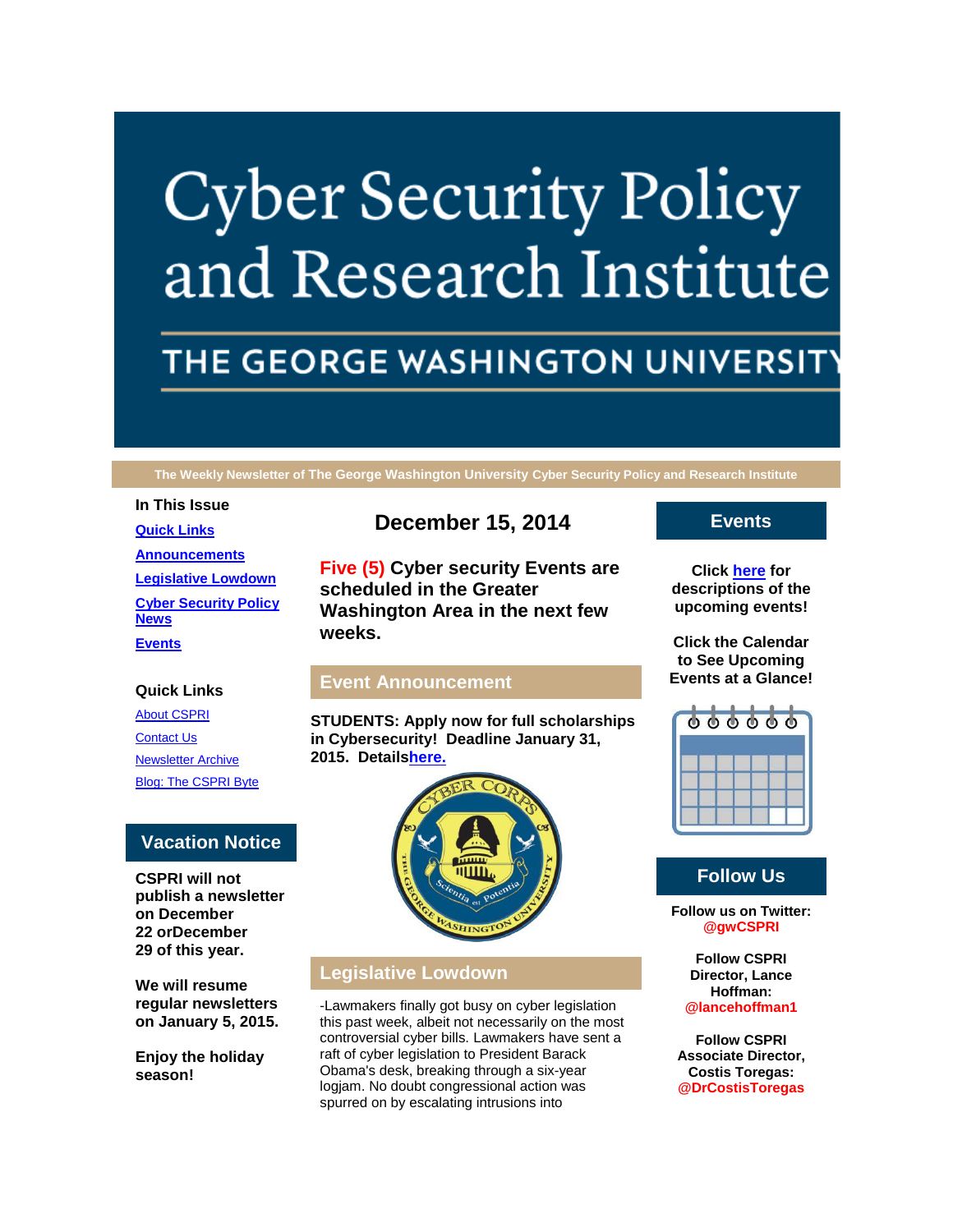# **Cyber Security Policy** and Research Institute

# THE GEORGE WASHINGTON UNIVERSIT

**The Weekly Newsletter of The George Washington University Cyber Security Policy and Research Institute**

**In This Issue [Quick Links](https://mail.google.com/mail/u/0/?pli=1#14a4ef64a343973c_LETTER.BLOCK5) [Announcements](https://mail.google.com/mail/u/0/?pli=1#14a4ef64a343973c_LETTER.BLOCK22) [Legislative Lowdown](https://mail.google.com/mail/u/0/?pli=1#14a4ef64a343973c_LETTER.BLOCK27) [Cyber Security Policy](https://mail.google.com/mail/u/0/?pli=1#14a4ef64a343973c_LETTER.BLOCK30)  [News](https://mail.google.com/mail/u/0/?pli=1#14a4ef64a343973c_LETTER.BLOCK30) [Events](https://mail.google.com/mail/u/0/?pli=1#14a4ef64a343973c_LETTER.BLOCK34)**

#### **Quick Links**

[About CSPRI](http://r20.rs6.net/tn.jsp?f=0015ghzDKOxkgvCYNyd_y6c_-eC7umnt7GYL__yG3X4XKYacyUjQG-bJlhIxJKDs6L6OQvwtNapXPvNTGHkOpX1q6UZsTPQcKCjmZvuB2Fd5jlbV-bDHuOtfl0rBI5MWLyXpHjleBA6jQohX7hjXthmlgCGBHxURwoSejvKEAwQmBcwXxojKEG1rohndxwhfdsj&c=IZ-rJ82oUqTIZJJmgOUKQJYPmau3cu5E9aAk1ST1YUdbVhZ6IMigWg==&ch=9Oh8JyTigc6OPtzHVnSlcL3N5LCpWtApR9PAQ-_swKfXG5x6w5JUvQ==) **[Contact Us](http://r20.rs6.net/tn.jsp?f=0015ghzDKOxkgvCYNyd_y6c_-eC7umnt7GYL__yG3X4XKYacyUjQG-bJlhIxJKDs6L6Wpss3SjHR9avPlH1T7uAXW_o2WhMh1UpHarpiGkn40T7xLVfcvsoIsA9Tz7NxYnFLCQvqXCRjoDbx0Q4kZdz4wOF2J3bLgmUD30JD8VTyCLOjBow3bEsLT3lhuj7M-9a8zDCqkvFrqc=&c=IZ-rJ82oUqTIZJJmgOUKQJYPmau3cu5E9aAk1ST1YUdbVhZ6IMigWg==&ch=9Oh8JyTigc6OPtzHVnSlcL3N5LCpWtApR9PAQ-_swKfXG5x6w5JUvQ==)** [Newsletter Archive](http://r20.rs6.net/tn.jsp?f=0015ghzDKOxkgvCYNyd_y6c_-eC7umnt7GYL__yG3X4XKYacyUjQG-bJlhIxJKDs6L6nUPnVhizfEaAAzMsISYIl4KdlRK6hvw2SBragCe5YmxZzToaySqI5oe1UL41EXEa9AXi_IqEEul7MeLjcNBsylxpWHBMjtsOn2wodIIv1d3acP_-2yYa3-qRdFfPvfCoVfsxOLgv4Wo=&c=IZ-rJ82oUqTIZJJmgOUKQJYPmau3cu5E9aAk1ST1YUdbVhZ6IMigWg==&ch=9Oh8JyTigc6OPtzHVnSlcL3N5LCpWtApR9PAQ-_swKfXG5x6w5JUvQ==) [Blog: The CSPRI Byte](http://r20.rs6.net/tn.jsp?f=0015ghzDKOxkgvCYNyd_y6c_-eC7umnt7GYL__yG3X4XKYacyUjQG-bJlhIxJKDs6L6wzPETzjVV8EIaXDo7-_-oJf2fK_dMxstkJ2SgM2XCyNWMCHzYSPbUpn6DRMkDPTE19AGeCPLIVvK_0GwgV9oxoRfDe3vvzRi0h4-zTrXS4nT_HFlWJGlnDIURdNyBDUI&c=IZ-rJ82oUqTIZJJmgOUKQJYPmau3cu5E9aAk1ST1YUdbVhZ6IMigWg==&ch=9Oh8JyTigc6OPtzHVnSlcL3N5LCpWtApR9PAQ-_swKfXG5x6w5JUvQ==)

#### **Vacation Notice**

**CSPRI will not publish a newsletter on December 22 orDecember 29 of this year.**

**We will resume regular newsletters on January 5, 2015.**

**Enjoy the holiday season!**

# **December 15, 2014**

**Five (5) Cyber security Events are scheduled in the Greater Washington Area in the next few weeks.**

#### **Event Announcement**

**STUDENTS: Apply now for full scholarships in Cybersecurity! Deadline January 31, 2015. Detail[shere.](http://r20.rs6.net/tn.jsp?f=0015ghzDKOxkgvCYNyd_y6c_-eC7umnt7GYL__yG3X4XKYacyUjQG-bJjhSet7Al7SQ2TkUtMw7gpLgeXESRRTXO0qC5Lm6jfQtQI8EWPGYO01yP8P_gbaOW8JDRSXfRy4Xc1HwUJnyXEUK-zs0-9UZJhcxjsRsbnWxUgQSustJSY-WJkKeBS3497TCxgjSWmzM&c=IZ-rJ82oUqTIZJJmgOUKQJYPmau3cu5E9aAk1ST1YUdbVhZ6IMigWg==&ch=9Oh8JyTigc6OPtzHVnSlcL3N5LCpWtApR9PAQ-_swKfXG5x6w5JUvQ==)**



### **Legislative Lowdown**

-Lawmakers finally got busy on cyber legislation this past week, albeit not necessarily on the most controversial cyber bills. Lawmakers have sent a raft of cyber legislation to President Barack Obama's desk, breaking through a six-year logjam. No doubt congressional action was spurred on by escalating intrusions into

#### **Events**

**Click [here](http://r20.rs6.net/tn.jsp?f=0015ghzDKOxkgvCYNyd_y6c_-eC7umnt7GYL__yG3X4XKYacyUjQG-bJlhIxJKDs6L6fuLFHCYgNIxMbN2NzhJ1eK9tY0O1t8WdhBp5xWPGTKD6Ap88j--B3AnWctda0dHomED__3DTJ_R2NrLdr8n4pzhzupm7fg25_6WLO3JA59z6E9MEyL65Z5t785izeRkjSMdIp83fkDQAADueXlwxHg==&c=IZ-rJ82oUqTIZJJmgOUKQJYPmau3cu5E9aAk1ST1YUdbVhZ6IMigWg==&ch=9Oh8JyTigc6OPtzHVnSlcL3N5LCpWtApR9PAQ-_swKfXG5x6w5JUvQ==) for descriptions of the upcoming events!**

**Click the Calendar to See Upcoming Events at a Glance!**



### **Follow Us**

**Follow us on Twitter: @gwCSPRI**

> **Follow CSPRI Director, Lance Hoffman: @lancehoffman1**

**Follow CSPRI Associate Director, Costis Toregas: @DrCostisToregas**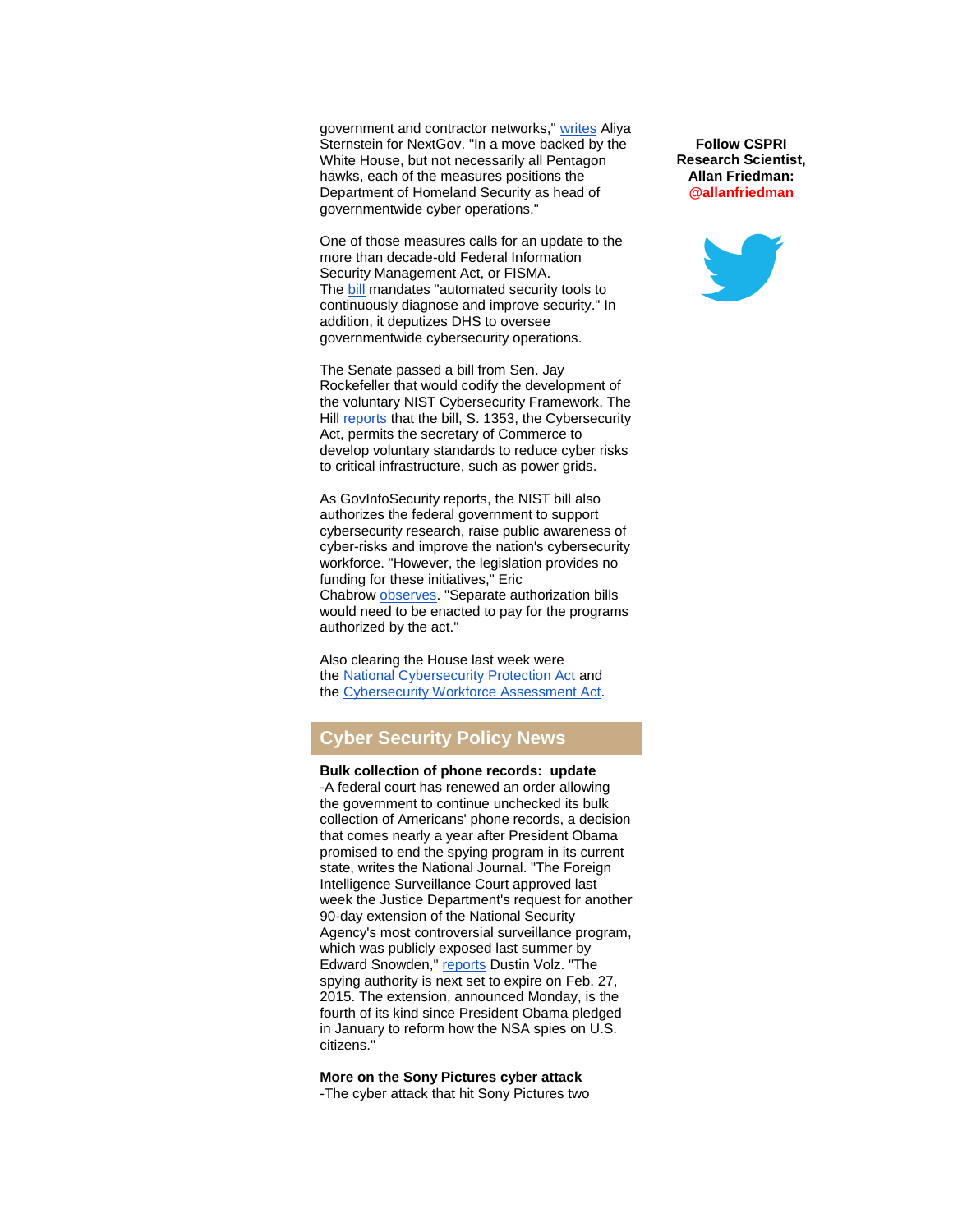government and contractor networks," [writes](http://r20.rs6.net/tn.jsp?f=0015ghzDKOxkgvCYNyd_y6c_-eC7umnt7GYL__yG3X4XKYacyUjQG-bJlriOPx5FPxPLKEG-XaAg_wI5aw8y4226BaJM6Yo7_HrCK8flxqcedkhJ_QEueGMA5_7FrQmoEIWZiG1HtsVWFT2FdLadKyKYeUxlAUQKuTc3lUcVXm86C2adyqCTLXwoGbjoyzo_KaQ6_bw_ENyeLGh9IQZRHFq934vJKuCFZ7NZ4nWsMjNrx8A4OXgcsy-0uMWoqWyN9zwprw5UY8ivSj54Ku0rzeOYJzBLkBhKykRROx2Bt5jaThLumOld5GvqbVJgz_CqNXvR_agIJIbR0pze8SAGrFqQeu4RUS3pxWd&c=IZ-rJ82oUqTIZJJmgOUKQJYPmau3cu5E9aAk1ST1YUdbVhZ6IMigWg==&ch=9Oh8JyTigc6OPtzHVnSlcL3N5LCpWtApR9PAQ-_swKfXG5x6w5JUvQ==) Aliya Sternstein for NextGov. "In a move backed by the White House, but not necessarily all Pentagon hawks, each of the measures positions the Department of Homeland Security as head of governmentwide cyber operations."

One of those measures calls for an update to the more than decade-old Federal Information Security Management Act, or FISMA. The [bill](http://r20.rs6.net/tn.jsp?f=0015ghzDKOxkgvCYNyd_y6c_-eC7umnt7GYL__yG3X4XKYacyUjQG-bJlriOPx5FPxPbHn6jxwHDkVcV4oHacMBk5zRDEoiDEMfVXD9nYxbwgVgqU4ifEkMIwd9MQq-tV_LNs7Y0FK3ZpGEK9MvV4ZZZ5YhQSF0eoEI-7sKTGExzomGx2XEcvVfgfrg-s6CJ_ZZW7l_9tYJXKuLlJjYDevGMXpHVCX2TnIuGs6bQGLy0M0VG8fR0tWc8w==&c=IZ-rJ82oUqTIZJJmgOUKQJYPmau3cu5E9aAk1ST1YUdbVhZ6IMigWg==&ch=9Oh8JyTigc6OPtzHVnSlcL3N5LCpWtApR9PAQ-_swKfXG5x6w5JUvQ==) mandates "automated security tools to continuously diagnose and improve security." In addition, it deputizes DHS to oversee governmentwide cybersecurity operations.

The Senate passed a bill from Sen. Jay Rockefeller that would codify the development of the voluntary NIST Cybersecurity Framework. The Hill [reports](http://r20.rs6.net/tn.jsp?f=0015ghzDKOxkgvCYNyd_y6c_-eC7umnt7GYL__yG3X4XKYacyUjQG-bJlriOPx5FPxPzN-UTvWXrrqlpURLzGqxk6McoL76jvss3XfS1uknbnsJ6Gj6JPtpgymnbfqkydOWBEfP9VW1JZJxOEMvJFQeKi1XARVQj9YyDa_NM5I4huPEucSvYrwPnDx5yzxpuQeKh0_HzJICVuYW08Z4dN5_hVxJbbBU5WKBtDU0OiK0zJM5q85s6jF5gslDOfnIiC0iLQobuKzsJYs=&c=IZ-rJ82oUqTIZJJmgOUKQJYPmau3cu5E9aAk1ST1YUdbVhZ6IMigWg==&ch=9Oh8JyTigc6OPtzHVnSlcL3N5LCpWtApR9PAQ-_swKfXG5x6w5JUvQ==) that the bill, S. 1353, the Cybersecurity Act, permits the secretary of Commerce to develop voluntary standards to reduce cyber risks to critical infrastructure, such as power grids.

As GovInfoSecurity reports, the NIST bill also authorizes the federal government to support cybersecurity research, raise public awareness of cyber-risks and improve the nation's cybersecurity workforce. "However, the legislation provides no funding for these initiatives," Eric Chabrow [observes.](http://r20.rs6.net/tn.jsp?f=0015ghzDKOxkgvCYNyd_y6c_-eC7umnt7GYL__yG3X4XKYacyUjQG-bJlriOPx5FPxPvxUZngx85z2mbgkvNT1KLpZ5RQ5Owmfs-eAf8wHMNWhbyrZoXjBVztirMKBa2SB0lxT2wqHJzxuST8BudjQKsqO-xvOxbT1d3hdGbXwdAQoIhCM7FM3sOAy5VfqOcfYTIFMFPCBBf1oXf6l_mi5qnBgaiUMIgV30GkhcdkTKCwKUvC89WjTbEQ==&c=IZ-rJ82oUqTIZJJmgOUKQJYPmau3cu5E9aAk1ST1YUdbVhZ6IMigWg==&ch=9Oh8JyTigc6OPtzHVnSlcL3N5LCpWtApR9PAQ-_swKfXG5x6w5JUvQ==) "Separate authorization bills would need to be enacted to pay for the programs authorized by the act."

Also clearing the House last week were the [National Cybersecurity Protection Act](http://r20.rs6.net/tn.jsp?f=0015ghzDKOxkgvCYNyd_y6c_-eC7umnt7GYL__yG3X4XKYacyUjQG-bJlriOPx5FPxPgMKBfv-Ret2PTIzP-KRBecUqs-88eMnKdU3WVA60AHP-wkKFHzOnEOjFwe2qu05M3WzA7W2DWOf4r5S9QT80qXHRmmVtjfUkmwhYt5pR4D2YjarzPZHfdOY51jBEoRYXVgFpdajkOBHaBm36o-K1p20aBgy4G4CE5ifBkcclwMw=&c=IZ-rJ82oUqTIZJJmgOUKQJYPmau3cu5E9aAk1ST1YUdbVhZ6IMigWg==&ch=9Oh8JyTigc6OPtzHVnSlcL3N5LCpWtApR9PAQ-_swKfXG5x6w5JUvQ==) and the [Cybersecurity Workforce Assessment Act.](http://r20.rs6.net/tn.jsp?f=0015ghzDKOxkgvCYNyd_y6c_-eC7umnt7GYL__yG3X4XKYacyUjQG-bJlriOPx5FPxPADFl2d-vZEl1YoBj-mgIwd5AB7jwGY4iyfRuACDlziHkQlhny6ku3zoxCrCAUsLj01NxALuZPYn5Q1GCewZ63Uw7hmJesOxkyKbEOONGpSeB1sk4PnV3IoEKEl6NCqrJZgeYARLh2qXEshE6uMclCg==&c=IZ-rJ82oUqTIZJJmgOUKQJYPmau3cu5E9aAk1ST1YUdbVhZ6IMigWg==&ch=9Oh8JyTigc6OPtzHVnSlcL3N5LCpWtApR9PAQ-_swKfXG5x6w5JUvQ==)

## **Cyber Security Policy News**

**Bulk collection of phone records: update** -A federal court has renewed an order allowing the government to continue unchecked its bulk collection of Americans' phone records, a decision that comes nearly a year after President Obama promised to end the spying program in its current state, writes the National Journal. "The Foreign Intelligence Surveillance Court approved last week the Justice Department's request for another 90-day extension of the National Security Agency's most controversial surveillance program, which was publicly exposed last summer by Edward Snowden," [reports](http://r20.rs6.net/tn.jsp?f=0015ghzDKOxkgvCYNyd_y6c_-eC7umnt7GYL__yG3X4XKYacyUjQG-bJlriOPx5FPxP9XmKWbjWn2Oxcd1UoFf5Fo5BDHp6CwZx6KiALncX1vuqexNzY-N-U4cCOI4pCMrk4YIfor8MahfWkV7ROSJ5LsAsC0Z8aZr8b_cxQkg1WAhoSfOUcZ27hdbySJtVul5kSAwtGHnLeD7ILuiChXVV3H_sHqr4pjTMu5ymqYDk2HBP815w_deiOE-gCKfIi-IzhcCf7X8Z1D--hcG9Av6WDjWi5LElwGaoBMATtU9EP8HNf4RLksl43PPZ1NVJbZz3&c=IZ-rJ82oUqTIZJJmgOUKQJYPmau3cu5E9aAk1ST1YUdbVhZ6IMigWg==&ch=9Oh8JyTigc6OPtzHVnSlcL3N5LCpWtApR9PAQ-_swKfXG5x6w5JUvQ==) Dustin Volz. "The spying authority is next set to expire on Feb. 27, 2015. The extension, announced Monday, is the fourth of its kind since President Obama pledged in January to reform how the NSA spies on U.S. citizens."

**More on the Sony Pictures cyber attack** -The cyber attack that hit Sony Pictures two

**Follow CSPRI Research Scientist, Allan Friedman: @allanfriedman**